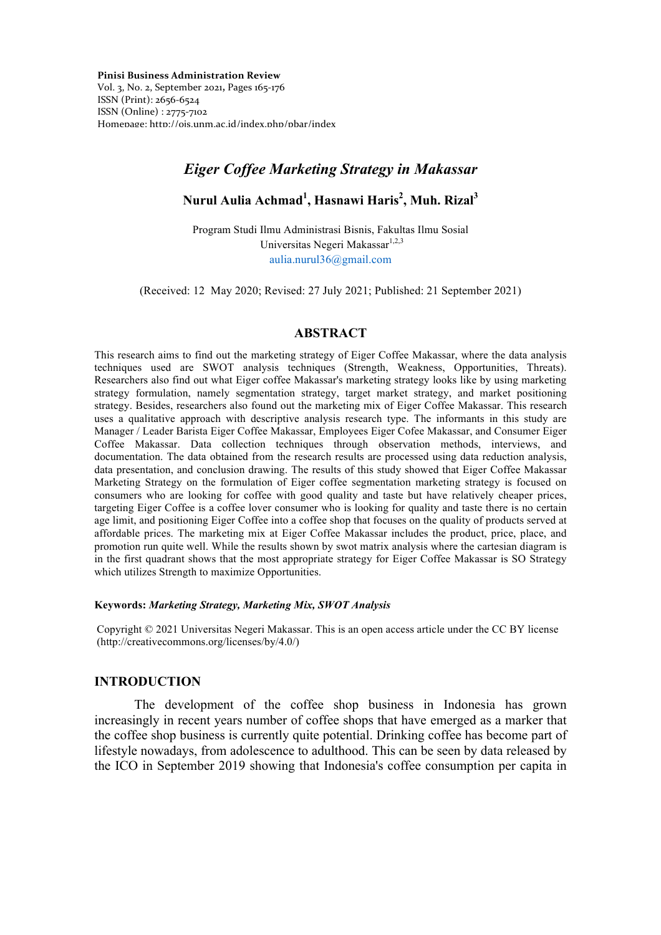Vol. 3, No. 2, September 2021**,** Pages 165-176 ISSN (Print): 2656-6524 ISSN (Online) : 2775-7102 Homepage: http://ojs.unm.ac.id/index.php/pbar/index

# *Eiger Coffee Marketing Strategy in Makassar*

## **Nurul Aulia Achmad<sup>1</sup> , Hasnawi Haris<sup>2</sup> , Muh. Rizal3**

Program Studi Ilmu Administrasi Bisnis, Fakultas Ilmu Sosial Universitas Negeri Makassar<sup>1,2,3</sup> aulia.nurul36@gmail.com

(Received: 12 May 2020; Revised: 27 July 2021; Published: 21 September 2021)

## **ABSTRACT**

This research aims to find out the marketing strategy of Eiger Coffee Makassar, where the data analysis techniques used are SWOT analysis techniques (Strength, Weakness, Opportunities, Threats). Researchers also find out what Eiger coffee Makassar's marketing strategy looks like by using marketing strategy formulation, namely segmentation strategy, target market strategy, and market positioning strategy. Besides, researchers also found out the marketing mix of Eiger Coffee Makassar. This research uses a qualitative approach with descriptive analysis research type. The informants in this study are Manager / Leader Barista Eiger Coffee Makassar, Employees Eiger Cofee Makassar, and Consumer Eiger Coffee Makassar. Data collection techniques through observation methods, interviews, and documentation. The data obtained from the research results are processed using data reduction analysis, data presentation, and conclusion drawing. The results of this study showed that Eiger Coffee Makassar Marketing Strategy on the formulation of Eiger coffee segmentation marketing strategy is focused on consumers who are looking for coffee with good quality and taste but have relatively cheaper prices, targeting Eiger Coffee is a coffee lover consumer who is looking for quality and taste there is no certain age limit, and positioning Eiger Coffee into a coffee shop that focuses on the quality of products served at affordable prices. The marketing mix at Eiger Coffee Makassar includes the product, price, place, and promotion run quite well. While the results shown by swot matrix analysis where the cartesian diagram is in the first quadrant shows that the most appropriate strategy for Eiger Coffee Makassar is SO Strategy which utilizes Strength to maximize Opportunities.

#### **Keywords:** *Marketing Strategy, Marketing Mix, SWOT Analysis*

Copyright © 2021 Universitas Negeri Makassar. This is an open access article under the CC BY license (http://creativecommons.org/licenses/by/4.0/)

### **INTRODUCTION**

The development of the coffee shop business in Indonesia has grown increasingly in recent years number of coffee shops that have emerged as a marker that the coffee shop business is currently quite potential. Drinking coffee has become part of lifestyle nowadays, from adolescence to adulthood. This can be seen by data released by the ICO in September 2019 showing that Indonesia's coffee consumption per capita in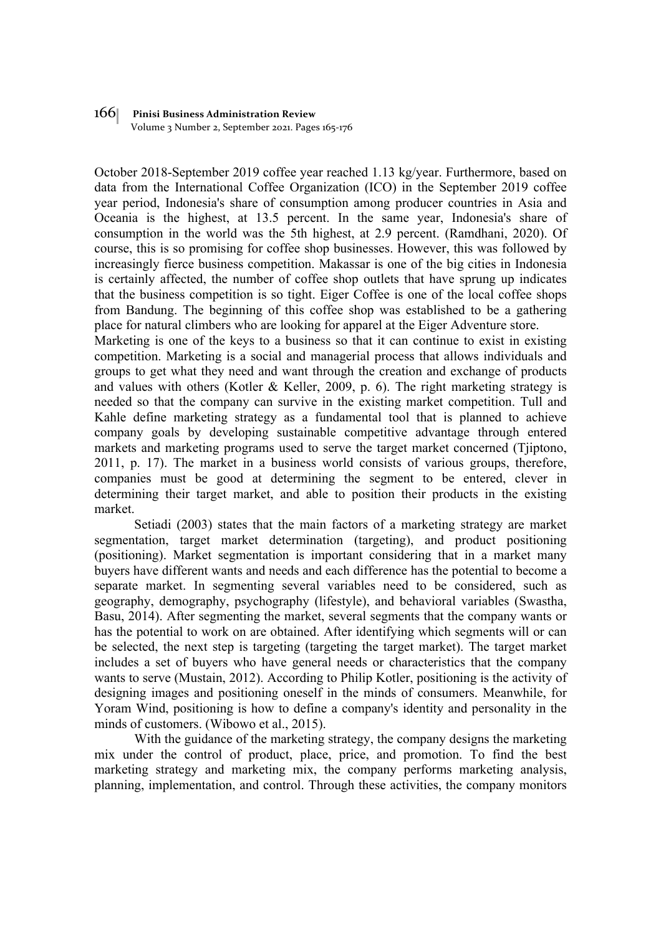Volume 3 Number 2, September 2021. Pages 165-176

October 2018-September 2019 coffee year reached 1.13 kg/year. Furthermore, based on data from the International Coffee Organization (ICO) in the September 2019 coffee year period, Indonesia's share of consumption among producer countries in Asia and Oceania is the highest, at 13.5 percent. In the same year, Indonesia's share of consumption in the world was the 5th highest, at 2.9 percent. (Ramdhani, 2020). Of course, this is so promising for coffee shop businesses. However, this was followed by increasingly fierce business competition. Makassar is one of the big cities in Indonesia is certainly affected, the number of coffee shop outlets that have sprung up indicates that the business competition is so tight. Eiger Coffee is one of the local coffee shops from Bandung. The beginning of this coffee shop was established to be a gathering place for natural climbers who are looking for apparel at the Eiger Adventure store.

Marketing is one of the keys to a business so that it can continue to exist in existing competition. Marketing is a social and managerial process that allows individuals and groups to get what they need and want through the creation and exchange of products and values with others (Kotler & Keller, 2009, p. 6). The right marketing strategy is needed so that the company can survive in the existing market competition. Tull and Kahle define marketing strategy as a fundamental tool that is planned to achieve company goals by developing sustainable competitive advantage through entered markets and marketing programs used to serve the target market concerned (Tjiptono, 2011, p. 17). The market in a business world consists of various groups, therefore, companies must be good at determining the segment to be entered, clever in determining their target market, and able to position their products in the existing market.

Setiadi (2003) states that the main factors of a marketing strategy are market segmentation, target market determination (targeting), and product positioning (positioning). Market segmentation is important considering that in a market many buyers have different wants and needs and each difference has the potential to become a separate market. In segmenting several variables need to be considered, such as geography, demography, psychography (lifestyle), and behavioral variables (Swastha, Basu, 2014). After segmenting the market, several segments that the company wants or has the potential to work on are obtained. After identifying which segments will or can be selected, the next step is targeting (targeting the target market). The target market includes a set of buyers who have general needs or characteristics that the company wants to serve (Mustain, 2012). According to Philip Kotler, positioning is the activity of designing images and positioning oneself in the minds of consumers. Meanwhile, for Yoram Wind, positioning is how to define a company's identity and personality in the minds of customers. (Wibowo et al., 2015).

With the guidance of the marketing strategy, the company designs the marketing mix under the control of product, place, price, and promotion. To find the best marketing strategy and marketing mix, the company performs marketing analysis, planning, implementation, and control. Through these activities, the company monitors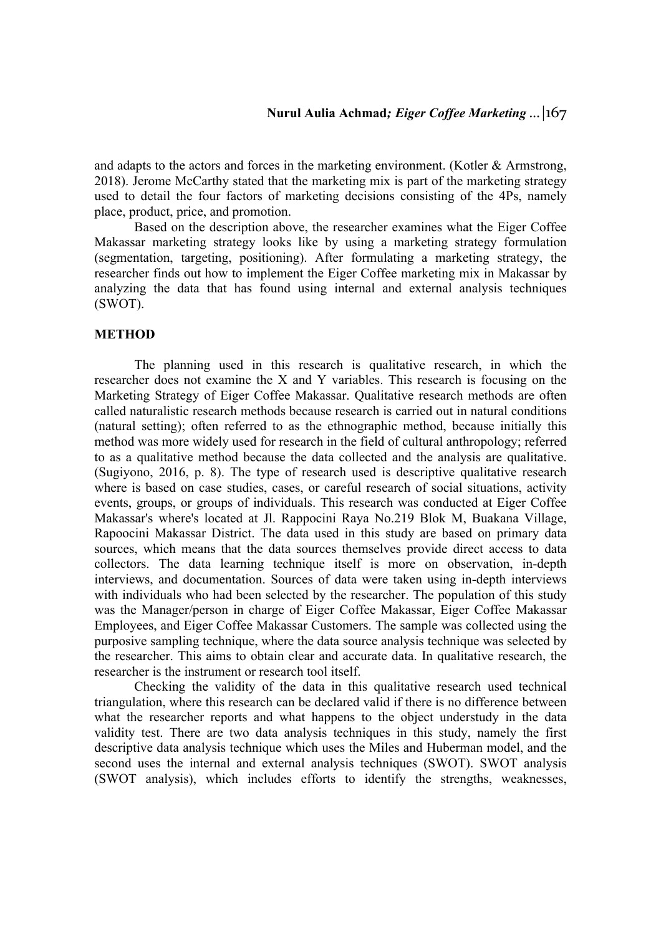and adapts to the actors and forces in the marketing environment. (Kotler  $\&$  Armstrong, 2018). Jerome McCarthy stated that the marketing mix is part of the marketing strategy used to detail the four factors of marketing decisions consisting of the 4Ps, namely place, product, price, and promotion.

Based on the description above, the researcher examines what the Eiger Coffee Makassar marketing strategy looks like by using a marketing strategy formulation (segmentation, targeting, positioning). After formulating a marketing strategy, the researcher finds out how to implement the Eiger Coffee marketing mix in Makassar by analyzing the data that has found using internal and external analysis techniques (SWOT).

## **METHOD**

The planning used in this research is qualitative research, in which the researcher does not examine the X and Y variables. This research is focusing on the Marketing Strategy of Eiger Coffee Makassar. Qualitative research methods are often called naturalistic research methods because research is carried out in natural conditions (natural setting); often referred to as the ethnographic method, because initially this method was more widely used for research in the field of cultural anthropology; referred to as a qualitative method because the data collected and the analysis are qualitative. (Sugiyono, 2016, p. 8). The type of research used is descriptive qualitative research where is based on case studies, cases, or careful research of social situations, activity events, groups, or groups of individuals. This research was conducted at Eiger Coffee Makassar's where's located at Jl. Rappocini Raya No.219 Blok M, Buakana Village, Rapoocini Makassar District. The data used in this study are based on primary data sources, which means that the data sources themselves provide direct access to data collectors. The data learning technique itself is more on observation, in-depth interviews, and documentation. Sources of data were taken using in-depth interviews with individuals who had been selected by the researcher. The population of this study was the Manager/person in charge of Eiger Coffee Makassar, Eiger Coffee Makassar Employees, and Eiger Coffee Makassar Customers. The sample was collected using the purposive sampling technique, where the data source analysis technique was selected by the researcher. This aims to obtain clear and accurate data. In qualitative research, the researcher is the instrument or research tool itself.

Checking the validity of the data in this qualitative research used technical triangulation, where this research can be declared valid if there is no difference between what the researcher reports and what happens to the object understudy in the data validity test. There are two data analysis techniques in this study, namely the first descriptive data analysis technique which uses the Miles and Huberman model, and the second uses the internal and external analysis techniques (SWOT). SWOT analysis (SWOT analysis), which includes efforts to identify the strengths, weaknesses,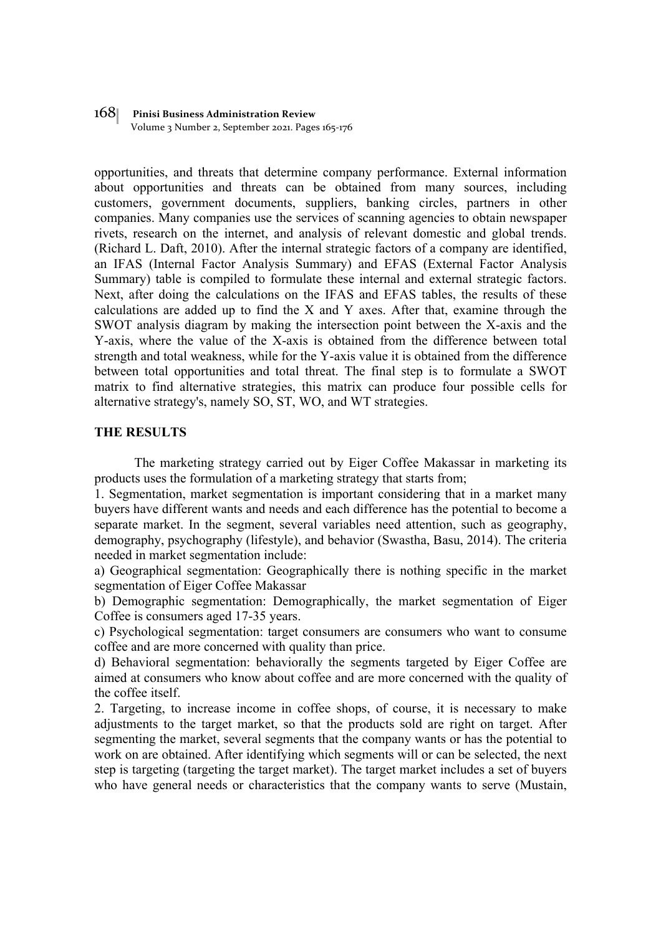Volume 3 Number 2, September 2021. Pages 165-176

opportunities, and threats that determine company performance. External information about opportunities and threats can be obtained from many sources, including customers, government documents, suppliers, banking circles, partners in other companies. Many companies use the services of scanning agencies to obtain newspaper rivets, research on the internet, and analysis of relevant domestic and global trends. (Richard L. Daft, 2010). After the internal strategic factors of a company are identified, an IFAS (Internal Factor Analysis Summary) and EFAS (External Factor Analysis Summary) table is compiled to formulate these internal and external strategic factors. Next, after doing the calculations on the IFAS and EFAS tables, the results of these calculations are added up to find the X and Y axes. After that, examine through the SWOT analysis diagram by making the intersection point between the X-axis and the Y-axis, where the value of the X-axis is obtained from the difference between total strength and total weakness, while for the Y-axis value it is obtained from the difference between total opportunities and total threat. The final step is to formulate a SWOT matrix to find alternative strategies, this matrix can produce four possible cells for alternative strategy's, namely SO, ST, WO, and WT strategies.

## **THE RESULTS**

The marketing strategy carried out by Eiger Coffee Makassar in marketing its products uses the formulation of a marketing strategy that starts from;

1. Segmentation, market segmentation is important considering that in a market many buyers have different wants and needs and each difference has the potential to become a separate market. In the segment, several variables need attention, such as geography, demography, psychography (lifestyle), and behavior (Swastha, Basu, 2014). The criteria needed in market segmentation include:

a) Geographical segmentation: Geographically there is nothing specific in the market segmentation of Eiger Coffee Makassar

b) Demographic segmentation: Demographically, the market segmentation of Eiger Coffee is consumers aged 17-35 years.

c) Psychological segmentation: target consumers are consumers who want to consume coffee and are more concerned with quality than price.

d) Behavioral segmentation: behaviorally the segments targeted by Eiger Coffee are aimed at consumers who know about coffee and are more concerned with the quality of the coffee itself.

2. Targeting, to increase income in coffee shops, of course, it is necessary to make adjustments to the target market, so that the products sold are right on target. After segmenting the market, several segments that the company wants or has the potential to work on are obtained. After identifying which segments will or can be selected, the next step is targeting (targeting the target market). The target market includes a set of buyers who have general needs or characteristics that the company wants to serve (Mustain,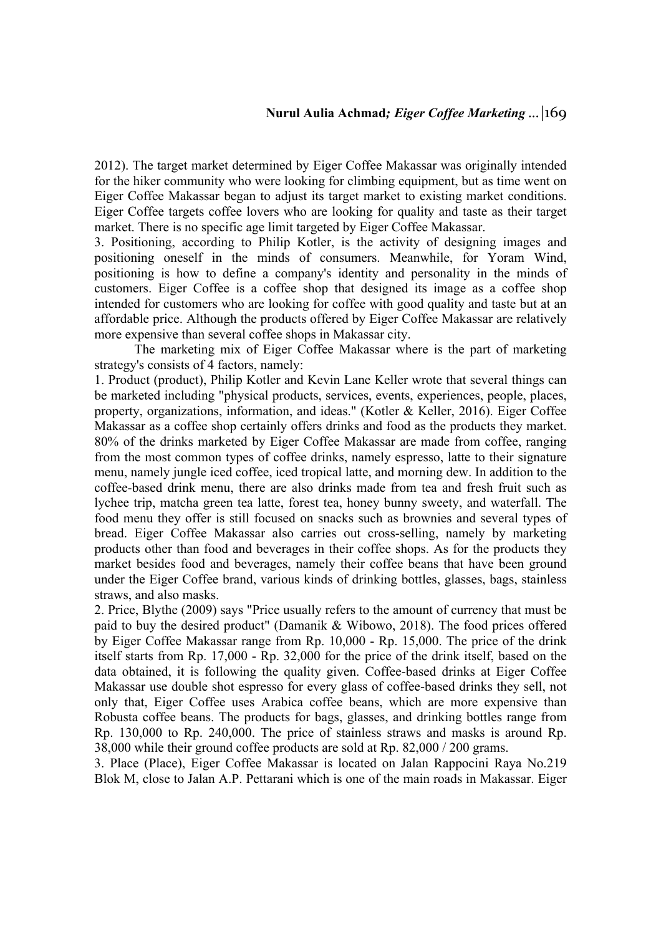2012). The target market determined by Eiger Coffee Makassar was originally intended for the hiker community who were looking for climbing equipment, but as time went on Eiger Coffee Makassar began to adjust its target market to existing market conditions. Eiger Coffee targets coffee lovers who are looking for quality and taste as their target market. There is no specific age limit targeted by Eiger Coffee Makassar.

3. Positioning, according to Philip Kotler, is the activity of designing images and positioning oneself in the minds of consumers. Meanwhile, for Yoram Wind, positioning is how to define a company's identity and personality in the minds of customers. Eiger Coffee is a coffee shop that designed its image as a coffee shop intended for customers who are looking for coffee with good quality and taste but at an affordable price. Although the products offered by Eiger Coffee Makassar are relatively more expensive than several coffee shops in Makassar city.

The marketing mix of Eiger Coffee Makassar where is the part of marketing strategy's consists of 4 factors, namely:

1. Product (product), Philip Kotler and Kevin Lane Keller wrote that several things can be marketed including "physical products, services, events, experiences, people, places, property, organizations, information, and ideas." (Kotler & Keller, 2016). Eiger Coffee Makassar as a coffee shop certainly offers drinks and food as the products they market. 80% of the drinks marketed by Eiger Coffee Makassar are made from coffee, ranging from the most common types of coffee drinks, namely espresso, latte to their signature menu, namely jungle iced coffee, iced tropical latte, and morning dew. In addition to the coffee-based drink menu, there are also drinks made from tea and fresh fruit such as lychee trip, matcha green tea latte, forest tea, honey bunny sweety, and waterfall. The food menu they offer is still focused on snacks such as brownies and several types of bread. Eiger Coffee Makassar also carries out cross-selling, namely by marketing products other than food and beverages in their coffee shops. As for the products they market besides food and beverages, namely their coffee beans that have been ground under the Eiger Coffee brand, various kinds of drinking bottles, glasses, bags, stainless straws, and also masks.

2. Price, Blythe (2009) says "Price usually refers to the amount of currency that must be paid to buy the desired product" (Damanik & Wibowo, 2018). The food prices offered by Eiger Coffee Makassar range from Rp. 10,000 - Rp. 15,000. The price of the drink itself starts from Rp. 17,000 - Rp. 32,000 for the price of the drink itself, based on the data obtained, it is following the quality given. Coffee-based drinks at Eiger Coffee Makassar use double shot espresso for every glass of coffee-based drinks they sell, not only that, Eiger Coffee uses Arabica coffee beans, which are more expensive than Robusta coffee beans. The products for bags, glasses, and drinking bottles range from Rp. 130,000 to Rp. 240,000. The price of stainless straws and masks is around Rp. 38,000 while their ground coffee products are sold at Rp. 82,000 / 200 grams.

3. Place (Place), Eiger Coffee Makassar is located on Jalan Rappocini Raya No.219 Blok M, close to Jalan A.P. Pettarani which is one of the main roads in Makassar. Eiger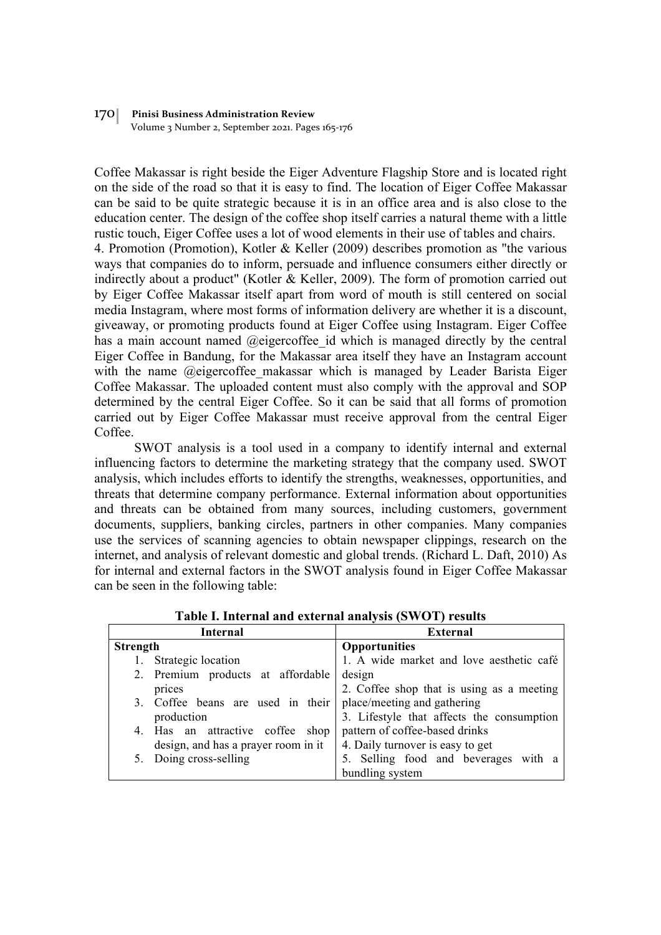Volume 3 Number 2, September 2021. Pages 165-176

Coffee Makassar is right beside the Eiger Adventure Flagship Store and is located right on the side of the road so that it is easy to find. The location of Eiger Coffee Makassar can be said to be quite strategic because it is in an office area and is also close to the education center. The design of the coffee shop itself carries a natural theme with a little rustic touch, Eiger Coffee uses a lot of wood elements in their use of tables and chairs. 4. Promotion (Promotion), Kotler & Keller (2009) describes promotion as "the various ways that companies do to inform, persuade and influence consumers either directly or indirectly about a product" (Kotler & Keller, 2009). The form of promotion carried out by Eiger Coffee Makassar itself apart from word of mouth is still centered on social media Instagram, where most forms of information delivery are whether it is a discount, giveaway, or promoting products found at Eiger Coffee using Instagram. Eiger Coffee has a main account named @eigercoffee id which is managed directly by the central Eiger Coffee in Bandung, for the Makassar area itself they have an Instagram account with the name @eigercoffee makassar which is managed by Leader Barista Eiger Coffee Makassar. The uploaded content must also comply with the approval and SOP determined by the central Eiger Coffee. So it can be said that all forms of promotion carried out by Eiger Coffee Makassar must receive approval from the central Eiger Coffee.

SWOT analysis is a tool used in a company to identify internal and external influencing factors to determine the marketing strategy that the company used. SWOT analysis, which includes efforts to identify the strengths, weaknesses, opportunities, and threats that determine company performance. External information about opportunities and threats can be obtained from many sources, including customers, government documents, suppliers, banking circles, partners in other companies. Many companies use the services of scanning agencies to obtain newspaper clippings, research on the internet, and analysis of relevant domestic and global trends. (Richard L. Daft, 2010) As for internal and external factors in the SWOT analysis found in Eiger Coffee Makassar can be seen in the following table:

| Internal        |                                     | <b>External</b>                           |  |
|-----------------|-------------------------------------|-------------------------------------------|--|
| <b>Strength</b> |                                     | <b>Opportunities</b>                      |  |
|                 | Strategic location                  | 1. A wide market and love aesthetic café  |  |
|                 | 2. Premium products at affordable   | design                                    |  |
|                 | prices                              | 2. Coffee shop that is using as a meeting |  |
|                 | 3. Coffee beans are used in their   | place/meeting and gathering               |  |
|                 | production                          | 3. Lifestyle that affects the consumption |  |
|                 | 4. Has an attractive coffee<br>shop | pattern of coffee-based drinks            |  |
|                 | design, and has a prayer room in it | 4. Daily turnover is easy to get          |  |
|                 | 5. Doing cross-selling              | 5. Selling food and beverages with a      |  |
|                 |                                     | bundling system                           |  |

**Table I. Internal and external analysis (SWOT) results**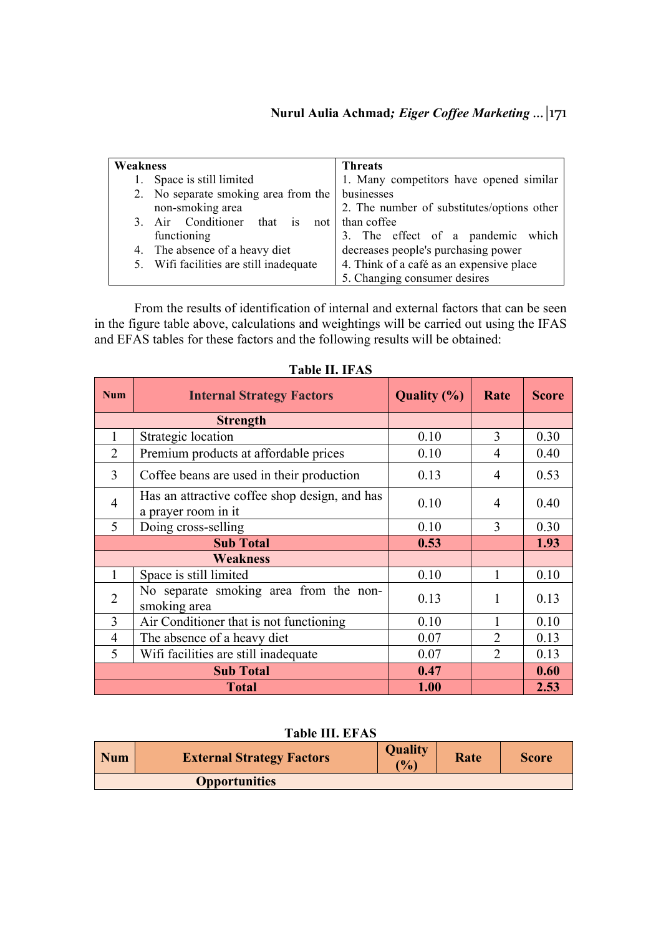| Weakness |                                                                                     | <b>Threats</b>                             |  |
|----------|-------------------------------------------------------------------------------------|--------------------------------------------|--|
| 1.       | Space is still limited                                                              | 1. Many competitors have opened similar    |  |
|          | 2. No separate smoking area from the                                                | businesses                                 |  |
|          | non-smoking area                                                                    | 2. The number of substitutes/options other |  |
| 3.       | Air Conditioner that is<br>not 1                                                    | than coffee                                |  |
|          | functioning                                                                         | 3. The effect of a pandemic which          |  |
|          | 4. The absence of a heavy diet                                                      | decreases people's purchasing power        |  |
|          | 4. Think of a café as an expensive place<br>5. Wifi facilities are still inadequate |                                            |  |
|          |                                                                                     | 5. Changing consumer desires               |  |

From the results of identification of internal and external factors that can be seen in the figure table above, calculations and weightings will be carried out using the IFAS and EFAS tables for these factors and the following results will be obtained:

| <b>Num</b>      | <b>Internal Strategy Factors</b>                                     | <b>Quality</b> (%) | Rate           | <b>Score</b> |
|-----------------|----------------------------------------------------------------------|--------------------|----------------|--------------|
| <b>Strength</b> |                                                                      |                    |                |              |
| 1               | Strategic location                                                   | 0.10               | 3              | 0.30         |
| $\overline{2}$  | Premium products at affordable prices                                | 0.10               | 4              | 0.40         |
| 3               | Coffee beans are used in their production                            | 0.13               | $\overline{4}$ | 0.53         |
| $\overline{4}$  | Has an attractive coffee shop design, and has<br>a prayer room in it | 0.10               | 4              | 0.40         |
| 5               | Doing cross-selling                                                  | 0.10               | 3              | 0.30         |
|                 | <b>Sub Total</b>                                                     | 0.53               |                | 1.93         |
|                 | <b>Weakness</b>                                                      |                    |                |              |
| $\mathbf{1}$    | Space is still limited                                               | 0.10               |                | 0.10         |
| $\overline{2}$  | No separate smoking area from the non-<br>smoking area               | 0.13               | 1              | 0.13         |
| 3               | Air Conditioner that is not functioning                              | 0.10               |                | 0.10         |
| $\overline{4}$  | The absence of a heavy diet                                          | 0.07               | $\overline{2}$ | 0.13         |
| 5               | Wifi facilities are still inadequate                                 | 0.07               | $\overline{2}$ | 0.13         |
|                 | <b>Sub Total</b>                                                     | 0.47               |                | 0.60         |
|                 | <b>Total</b>                                                         | 1.00               |                | 2.53         |

# **Table II. IFAS**

## **Table III. EFAS**

| <b>Num</b> | <b>External Strategy Factors</b> | <b>Quality</b><br>$\mathcal{O}_{\mathbf{0}}$ | Rate | <b>Score</b> |
|------------|----------------------------------|----------------------------------------------|------|--------------|
|            | <b>Opportunities</b>             |                                              |      |              |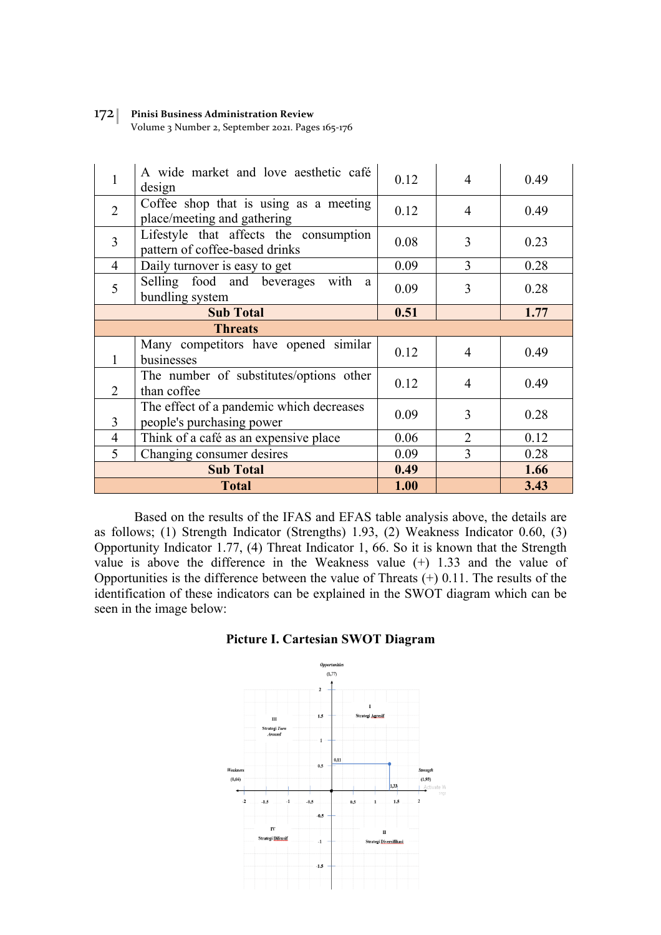Volume 3 Number 2, September 2021. Pages 165-176

| 1                | A wide market and love aesthetic café<br>design                          | 0.12 | 4              | 0.49 |
|------------------|--------------------------------------------------------------------------|------|----------------|------|
| $\overline{2}$   | Coffee shop that is using as a meeting<br>place/meeting and gathering    | 0.12 | $\overline{4}$ | 0.49 |
| $\overline{3}$   | Lifestyle that affects the consumption<br>pattern of coffee-based drinks | 0.08 | 3              | 0.23 |
| $\overline{4}$   | Daily turnover is easy to get                                            | 0.09 | 3              | 0.28 |
| 5                | Selling food and beverages with<br>a.<br>bundling system                 | 0.09 | 3              | 0.28 |
|                  | <b>Sub Total</b>                                                         | 0.51 |                | 1.77 |
| <b>Threats</b>   |                                                                          |      |                |      |
|                  | Many competitors have opened similar<br>businesses                       | 0.12 | $\overline{4}$ | 0.49 |
| $\overline{2}$   | The number of substitutes/options other<br>than coffee                   | 0.12 | 4              | 0.49 |
| 3                | The effect of a pandemic which decreases<br>people's purchasing power    | 0.09 | 3              | 0.28 |
| $\overline{4}$   | Think of a café as an expensive place                                    | 0.06 | $\overline{2}$ | 0.12 |
| 5                | Changing consumer desires                                                | 0.09 | 3              | 0.28 |
| <b>Sub Total</b> |                                                                          | 0.49 |                | 1.66 |
|                  | <b>Total</b>                                                             | 1.00 |                | 3.43 |

Based on the results of the IFAS and EFAS table analysis above, the details are as follows; (1) Strength Indicator (Strengths) 1.93, (2) Weakness Indicator 0.60, (3) Opportunity Indicator 1.77, (4) Threat Indicator 1, 66. So it is known that the Strength value is above the difference in the Weakness value (+) 1.33 and the value of Opportunities is the difference between the value of Threats (+) 0.11. The results of the identification of these indicators can be explained in the SWOT diagram which can be seen in the image below:

## **Picture I. Cartesian SWOT Diagram**

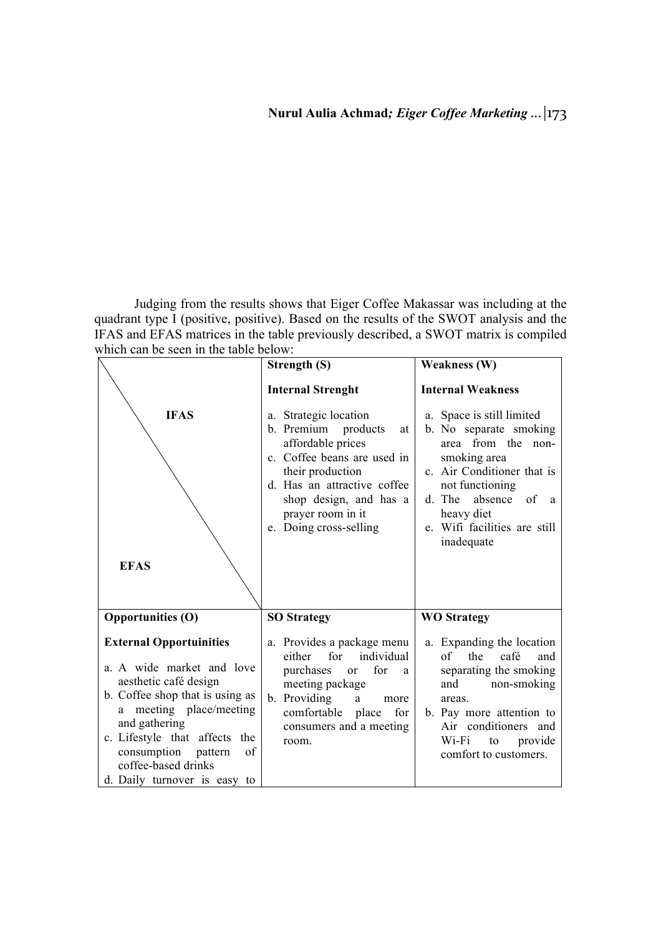Judging from the results shows that Eiger Coffee Makassar was including at the quadrant type I (positive, positive). Based on the results of the SWOT analysis and the IFAS and EFAS matrices in the table previously described, a SWOT matrix is compiled which can be seen in the table below:

| THEIR CALL DE SECTI ITT THE TAUTE DETUW.                                                                                                                                                                                                                                                    |                                                                                                                                                                                                                                       |                                                                                                                                                                                                                                     |
|---------------------------------------------------------------------------------------------------------------------------------------------------------------------------------------------------------------------------------------------------------------------------------------------|---------------------------------------------------------------------------------------------------------------------------------------------------------------------------------------------------------------------------------------|-------------------------------------------------------------------------------------------------------------------------------------------------------------------------------------------------------------------------------------|
|                                                                                                                                                                                                                                                                                             | Strength (S)                                                                                                                                                                                                                          | Weakness (W)                                                                                                                                                                                                                        |
|                                                                                                                                                                                                                                                                                             | <b>Internal Strenght</b>                                                                                                                                                                                                              | <b>Internal Weakness</b>                                                                                                                                                                                                            |
| <b>IFAS</b><br><b>EFAS</b>                                                                                                                                                                                                                                                                  | a. Strategic location<br>b. Premium<br>products<br>at<br>affordable prices<br>c. Coffee beans are used in<br>their production<br>d. Has an attractive coffee<br>shop design, and has a<br>prayer room in it<br>e. Doing cross-selling | a. Space is still limited<br>b. No separate smoking<br>area from the non-<br>smoking area<br>c. Air Conditioner that is<br>not functioning<br>absence<br>of a<br>d. The<br>heavy diet<br>e. Wifi facilities are still<br>inadequate |
| <b>Opportunities (O)</b>                                                                                                                                                                                                                                                                    | <b>SO Strategy</b>                                                                                                                                                                                                                    | <b>WO Strategy</b>                                                                                                                                                                                                                  |
| <b>External Opportuinities</b><br>a. A wide market and love<br>aesthetic café design<br>b. Coffee shop that is using as<br>meeting place/meeting<br>a<br>and gathering<br>c. Lifestyle that affects the<br>consumption pattern<br>of<br>coffee-based drinks<br>d. Daily turnover is easy to | a. Provides a package menu<br>individual<br>for<br>either<br>purchases or<br>for<br><sub>a</sub><br>meeting package<br>b. Providing<br>$\mathbf{a}$<br>more<br>comfortable place<br>for<br>consumers and a meeting<br>room.           | a. Expanding the location<br>of<br>the<br>café<br>and<br>separating the smoking<br>non-smoking<br>and<br>areas.<br>b. Pay more attention to<br>Air conditioners and<br>Wi-Fi<br>to provide<br>comfort to customers.                 |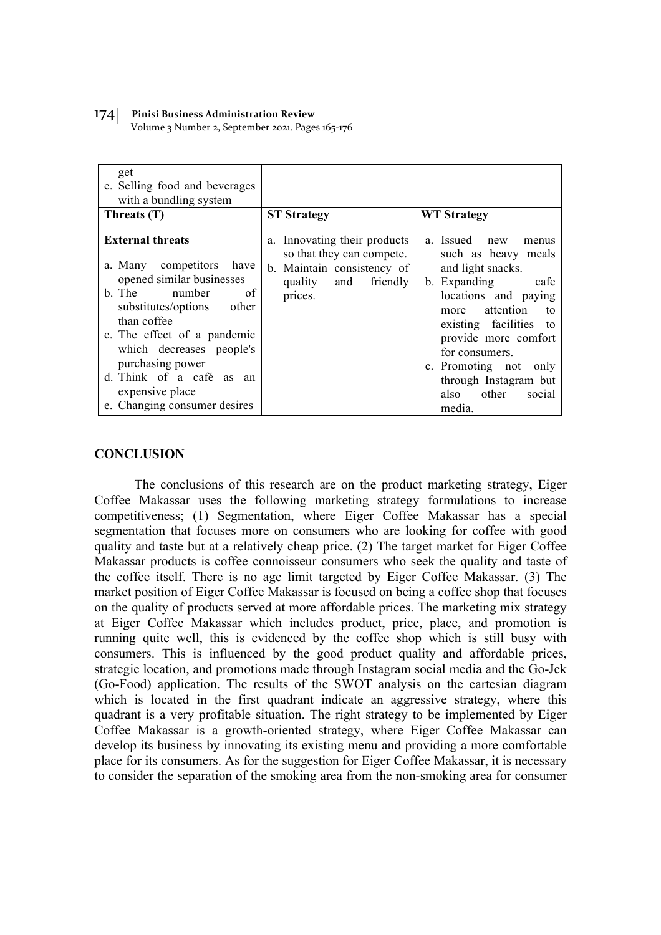Volume 3 Number 2, September 2021. Pages 165-176

| get<br>e. Selling food and beverages<br>with a bundling system                                                                                                                                                                                                          |                                                                                                                                          |                                                                                                                                                                                                                                                                     |
|-------------------------------------------------------------------------------------------------------------------------------------------------------------------------------------------------------------------------------------------------------------------------|------------------------------------------------------------------------------------------------------------------------------------------|---------------------------------------------------------------------------------------------------------------------------------------------------------------------------------------------------------------------------------------------------------------------|
| Threats (T)                                                                                                                                                                                                                                                             | <b>ST Strategy</b>                                                                                                                       | <b>WT Strategy</b>                                                                                                                                                                                                                                                  |
| <b>External threats</b><br>a. Many competitors<br>have<br>opened similar businesses<br>b. The<br>number<br>of<br>substitutes/options<br>other<br>than coffee<br>c. The effect of a pandemic<br>which decreases people's<br>purchasing power<br>d. Think of a café as an | a. Innovating their products<br>so that they can compete.<br>Maintain consistency of<br>$b_{-}$<br>quality<br>and<br>friendly<br>prices. | a. Issued new<br>menus<br>such as heavy meals<br>and light snacks.<br>b. Expanding<br>cafe<br>locations and paying<br>more attention<br>to<br>existing facilities to<br>provide more comfort<br>for consumers.<br>c. Promoting not<br>only<br>through Instagram but |
| expensive place<br>e. Changing consumer desires                                                                                                                                                                                                                         |                                                                                                                                          | other<br>also<br>social<br>media.                                                                                                                                                                                                                                   |

## **CONCLUSION**

The conclusions of this research are on the product marketing strategy, Eiger Coffee Makassar uses the following marketing strategy formulations to increase competitiveness; (1) Segmentation, where Eiger Coffee Makassar has a special segmentation that focuses more on consumers who are looking for coffee with good quality and taste but at a relatively cheap price. (2) The target market for Eiger Coffee Makassar products is coffee connoisseur consumers who seek the quality and taste of the coffee itself. There is no age limit targeted by Eiger Coffee Makassar. (3) The market position of Eiger Coffee Makassar is focused on being a coffee shop that focuses on the quality of products served at more affordable prices. The marketing mix strategy at Eiger Coffee Makassar which includes product, price, place, and promotion is running quite well, this is evidenced by the coffee shop which is still busy with consumers. This is influenced by the good product quality and affordable prices, strategic location, and promotions made through Instagram social media and the Go-Jek (Go-Food) application. The results of the SWOT analysis on the cartesian diagram which is located in the first quadrant indicate an aggressive strategy, where this quadrant is a very profitable situation. The right strategy to be implemented by Eiger Coffee Makassar is a growth-oriented strategy, where Eiger Coffee Makassar can develop its business by innovating its existing menu and providing a more comfortable place for its consumers. As for the suggestion for Eiger Coffee Makassar, it is necessary to consider the separation of the smoking area from the non-smoking area for consumer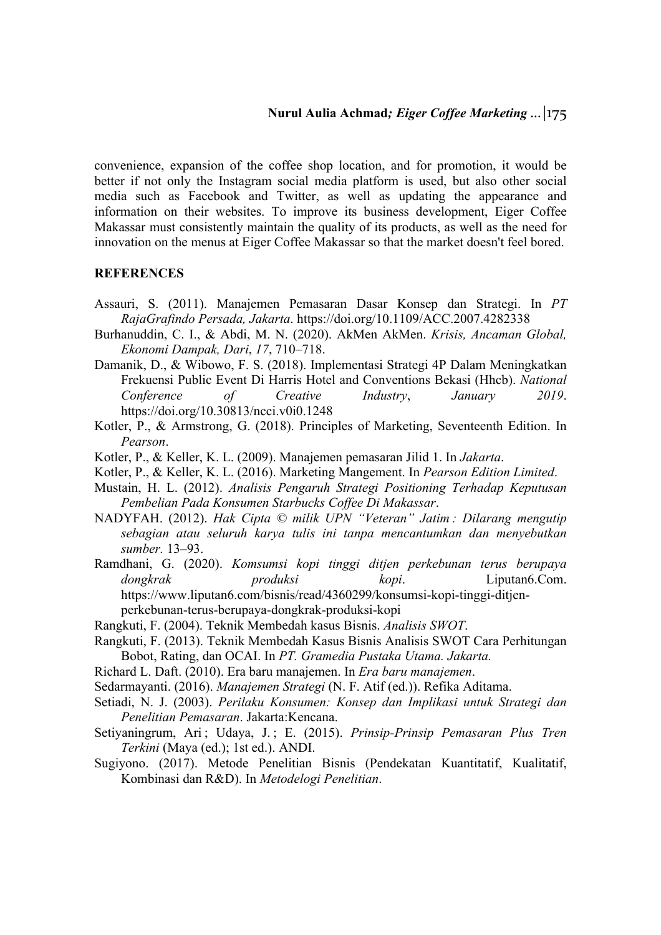convenience, expansion of the coffee shop location, and for promotion, it would be better if not only the Instagram social media platform is used, but also other social media such as Facebook and Twitter, as well as updating the appearance and information on their websites. To improve its business development, Eiger Coffee Makassar must consistently maintain the quality of its products, as well as the need for innovation on the menus at Eiger Coffee Makassar so that the market doesn't feel bored.

## **REFERENCES**

- Assauri, S. (2011). Manajemen Pemasaran Dasar Konsep dan Strategi. In *PT RajaGrafindo Persada, Jakarta*. https://doi.org/10.1109/ACC.2007.4282338
- Burhanuddin, C. I., & Abdi, M. N. (2020). AkMen AkMen. *Krisis, Ancaman Global, Ekonomi Dampak, Dari*, *17*, 710–718.
- Damanik, D., & Wibowo, F. S. (2018). Implementasi Strategi 4P Dalam Meningkatkan Frekuensi Public Event Di Harris Hotel and Conventions Bekasi (Hhcb). *National Conference of Creative Industry*, *January 2019*. https://doi.org/10.30813/ncci.v0i0.1248
- Kotler, P., & Armstrong, G. (2018). Principles of Marketing, Seventeenth Edition. In *Pearson*.
- Kotler, P., & Keller, K. L. (2009). Manajemen pemasaran Jilid 1. In *Jakarta*.
- Kotler, P., & Keller, K. L. (2016). Marketing Mangement. In *Pearson Edition Limited*.
- Mustain, H. L. (2012). *Analisis Pengaruh Strategi Positioning Terhadap Keputusan Pembelian Pada Konsumen Starbucks Coffee Di Makassar*.
- NADYFAH. (2012). *Hak Cipta © milik UPN "Veteran" Jatim : Dilarang mengutip sebagian atau seluruh karya tulis ini tanpa mencantumkan dan menyebutkan sumber.* 13–93.
- Ramdhani, G. (2020). *Komsumsi kopi tinggi ditjen perkebunan terus berupaya dongkrak produksi kopi*. Liputan6.Com. https://www.liputan6.com/bisnis/read/4360299/konsumsi-kopi-tinggi-ditjenperkebunan-terus-berupaya-dongkrak-produksi-kopi
- Rangkuti, F. (2004). Teknik Membedah kasus Bisnis. *Analisis SWOT*.
- Rangkuti, F. (2013). Teknik Membedah Kasus Bisnis Analisis SWOT Cara Perhitungan Bobot, Rating, dan OCAI. In *PT. Gramedia Pustaka Utama. Jakarta.*
- Richard L. Daft. (2010). Era baru manajemen. In *Era baru manajemen*.
- Sedarmayanti. (2016). *Manajemen Strategi* (N. F. Atif (ed.)). Refika Aditama.
- Setiadi, N. J. (2003). *Perilaku Konsumen: Konsep dan Implikasi untuk Strategi dan Penelitian Pemasaran*. Jakarta:Kencana.
- Setiyaningrum, Ari; Udaya, J.; E. (2015). *Prinsip-Prinsip Pemasaran Plus Tren Terkini* (Maya (ed.); 1st ed.). ANDI.
- Sugiyono. (2017). Metode Penelitian Bisnis (Pendekatan Kuantitatif, Kualitatif, Kombinasi dan R&D). In *Metodelogi Penelitian*.